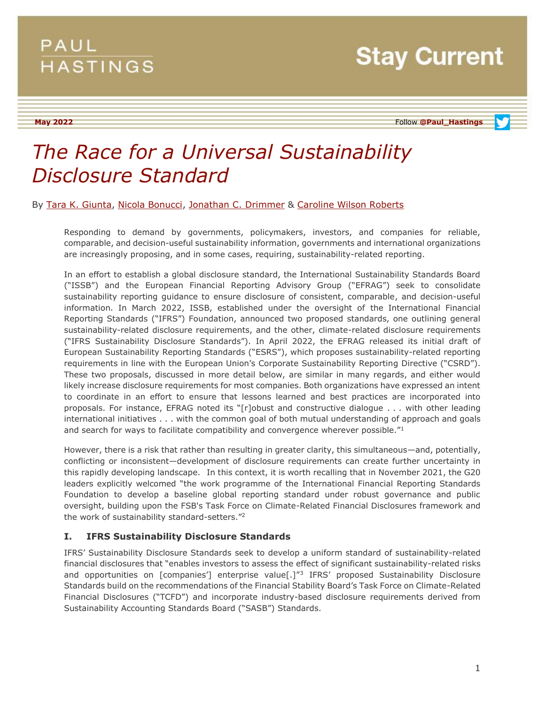**May 2022** Follow **[@Paul\\_Hastings](http://twitter.com/Paul_Hastings)**

# *The Race for a Universal Sustainability Disclosure Standard*

### By [Tara K. Giunta,](https://www.paulhastings.com/professionals/taragiunta) [Nicola Bonucci,](https://www.paulhastings.com/professionals/nicolabonucci) [Jonathan C. Drimmer](https://www.paulhastings.com/professionals/jondrimmer) & [Caroline Wilson Roberts](https://www.paulhastings.com/professionals/carolinewilsonroberts)

Responding to demand by governments, policymakers, investors, and companies for reliable, comparable, and decision-useful sustainability information, governments and international organizations are increasingly proposing, and in some cases, requiring, sustainability-related reporting.

In an effort to establish a global disclosure standard, the International Sustainability Standards Board ("ISSB") and the European Financial Reporting Advisory Group ("EFRAG") seek to consolidate sustainability reporting guidance to ensure disclosure of consistent, comparable, and decision-useful information. In March 2022, ISSB, established under the oversight of the International Financial Reporting Standards ("IFRS") Foundation, announced two proposed standards, one outlining general sustainability-related disclosure requirements, and the other, climate-related disclosure requirements ("IFRS Sustainability Disclosure Standards"). In April 2022, the EFRAG released its initial draft of European Sustainability Reporting Standards ("ESRS"), which proposes sustainability-related reporting requirements in line with the European Union's Corporate Sustainability Reporting Directive ("CSRD"). These two proposals, discussed in more detail below, are similar in many regards, and either would likely increase disclosure requirements for most companies. Both organizations have expressed an intent to coordinate in an effort to ensure that lessons learned and best practices are incorporated into proposals. For instance, EFRAG noted its "[r]obust and constructive dialogue . . . with other leading international initiatives . . . with the common goal of both mutual understanding of approach and goals and search for ways to facilitate compatibility and convergence wherever possible."<sup>1</sup>

However, there is a risk that rather than resulting in greater clarity, this simultaneous—and, potentially, conflicting or inconsistent—development of disclosure requirements can create further uncertainty in this rapidly developing landscape. In this context, it is worth recalling that in November 2021, the G20 leaders explicitly welcomed "the work programme of the International Financial Reporting Standards Foundation to develop a baseline global reporting standard under robust governance and public oversight, building upon the FSB's Task Force on Climate-Related Financial Disclosures framework and the work of sustainability standard-setters." 2

# **I. IFRS Sustainability Disclosure Standards**

IFRS' Sustainability Disclosure Standards seek to develop a uniform standard of sustainability-related financial disclosures that "enables investors to assess the effect of significant sustainability-related risks and opportunities on [companies'] enterprise value[.]<sup>"3</sup> IFRS' proposed Sustainability Disclosure Standards build on the recommendations of the Financial Stability Board's Task Force on Climate-Related Financial Disclosures ("TCFD") and incorporate industry-based disclosure requirements derived from Sustainability Accounting Standards Board ("SASB") Standards.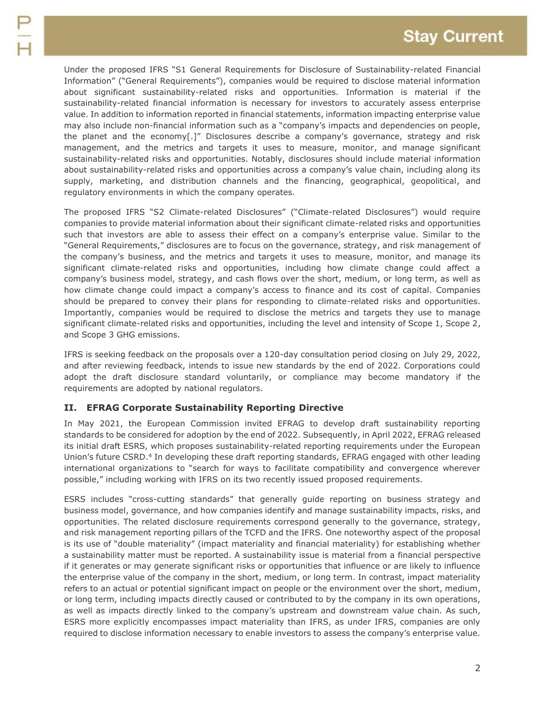Under the proposed IFRS "S1 General Requirements for Disclosure of Sustainability-related Financial Information" ("General Requirements"), companies would be required to disclose material information about significant sustainability-related risks and opportunities. Information is material if the sustainability-related financial information is necessary for investors to accurately assess enterprise value. In addition to information reported in financial statements, information impacting enterprise value may also include non-financial information such as a "company's impacts and dependencies on people, the planet and the economy[.]" Disclosures describe a company's governance, strategy and risk management, and the metrics and targets it uses to measure, monitor, and manage significant sustainability-related risks and opportunities. Notably, disclosures should include material information about sustainability-related risks and opportunities across a company's value chain, including along its supply, marketing, and distribution channels and the financing, geographical, geopolitical, and regulatory environments in which the company operates.

The proposed IFRS "S2 Climate-related Disclosures" ("Climate-related Disclosures") would require companies to provide material information about their significant climate-related risks and opportunities such that investors are able to assess their effect on a company's enterprise value. Similar to the "General Requirements," disclosures are to focus on the governance, strategy, and risk management of the company's business, and the metrics and targets it uses to measure, monitor, and manage its significant climate-related risks and opportunities, including how climate change could affect a company's business model, strategy, and cash flows over the short, medium, or long term, as well as how climate change could impact a company's access to finance and its cost of capital. Companies should be prepared to convey their plans for responding to climate-related risks and opportunities. Importantly, companies would be required to disclose the metrics and targets they use to manage significant climate-related risks and opportunities, including the level and intensity of Scope 1, Scope 2, and Scope 3 GHG emissions.

IFRS is seeking feedback on the proposals over a 120-day consultation period closing on July 29, 2022, and after reviewing feedback, intends to issue new standards by the end of 2022. Corporations could adopt the draft disclosure standard voluntarily, or compliance may become mandatory if the requirements are adopted by national regulators.

# **II. EFRAG Corporate Sustainability Reporting Directive**

In May 2021, the European Commission invited EFRAG to develop draft sustainability reporting standards to be considered for adoption by the end of 2022. Subsequently, in April 2022, EFRAG released its initial draft ESRS, which proposes sustainability-related reporting requirements under the European Union's future CSRD.<sup>4</sup> In developing these draft reporting standards, EFRAG engaged with other leading international organizations to "search for ways to facilitate compatibility and convergence wherever possible," including working with IFRS on its two recently issued proposed requirements.

ESRS includes "cross-cutting standards" that generally guide reporting on business strategy and business model, governance, and how companies identify and manage sustainability impacts, risks, and opportunities. The related disclosure requirements correspond generally to the governance, strategy, and risk management reporting pillars of the TCFD and the IFRS. One noteworthy aspect of the proposal is its use of "double materiality" (impact materiality and financial materiality) for establishing whether a sustainability matter must be reported. A sustainability issue is material from a financial perspective if it generates or may generate significant risks or opportunities that influence or are likely to influence the enterprise value of the company in the short, medium, or long term. In contrast, impact materiality refers to an actual or potential significant impact on people or the environment over the short, medium, or long term, including impacts directly caused or contributed to by the company in its own operations, as well as impacts directly linked to the company's upstream and downstream value chain. As such, ESRS more explicitly encompasses impact materiality than IFRS, as under IFRS, companies are only required to disclose information necessary to enable investors to assess the company's enterprise value.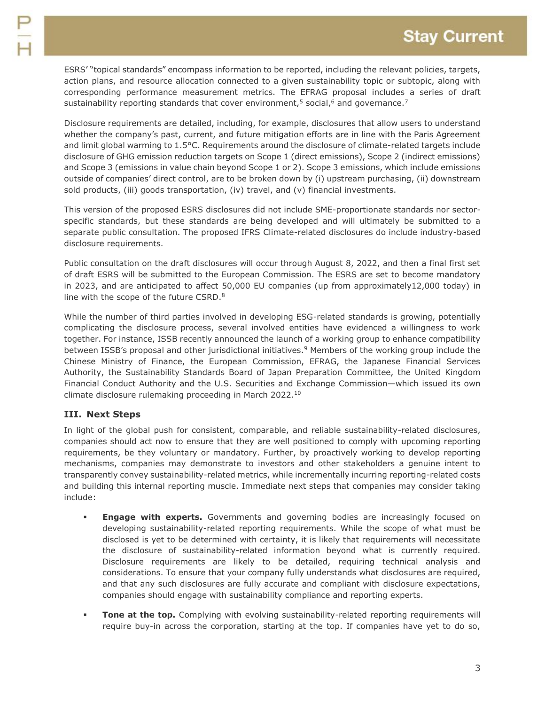ESRS' "topical standards" encompass information to be reported, including the relevant policies, targets, action plans, and resource allocation connected to a given sustainability topic or subtopic, along with corresponding performance measurement metrics. The EFRAG proposal includes a series of draft sustainability reporting standards that cover environment,<sup>5</sup> social, $6$  and governance.<sup>7</sup>

Disclosure requirements are detailed, including, for example, disclosures that allow users to understand whether the company's past, current, and future mitigation efforts are in line with the Paris Agreement and limit global warming to 1.5°C. Requirements around the disclosure of climate-related targets include disclosure of GHG emission reduction targets on Scope 1 (direct emissions), Scope 2 (indirect emissions) and Scope 3 (emissions in value chain beyond Scope 1 or 2). Scope 3 emissions, which include emissions outside of companies' direct control, are to be broken down by (i) upstream purchasing, (ii) downstream sold products, (iii) goods transportation, (iv) travel, and (v) financial investments.

This version of the proposed ESRS disclosures did not include SME-proportionate standards nor sectorspecific standards, but these standards are being developed and will ultimately be submitted to a separate public consultation. The proposed IFRS Climate-related disclosures do include industry-based disclosure requirements.

Public consultation on the draft disclosures will occur through August 8, 2022, and then a final first set of draft ESRS will be submitted to the European Commission. The ESRS are set to become mandatory in 2023, and are anticipated to affect 50,000 EU companies (up from approximately12,000 today) in line with the scope of the future CSRD.<sup>8</sup>

While the number of third parties involved in developing ESG-related standards is growing, potentially complicating the disclosure process, several involved entities have evidenced a willingness to work together. For instance, ISSB recently announced the launch of a working group to enhance compatibility between ISSB's proposal and other jurisdictional initiatives.<sup>9</sup> Members of the working group include the Chinese Ministry of Finance, the European Commission, EFRAG, the Japanese Financial Services Authority, the Sustainability Standards Board of Japan Preparation Committee, the United Kingdom Financial Conduct Authority and the U.S. Securities and Exchange Commission—which issued its own climate disclosure rulemaking proceeding in March 2022.<sup>10</sup>

# **III. Next Steps**

In light of the global push for consistent, comparable, and reliable sustainability-related disclosures, companies should act now to ensure that they are well positioned to comply with upcoming reporting requirements, be they voluntary or mandatory. Further, by proactively working to develop reporting mechanisms, companies may demonstrate to investors and other stakeholders a genuine intent to transparently convey sustainability-related metrics, while incrementally incurring reporting-related costs and building this internal reporting muscle. Immediate next steps that companies may consider taking include:

- **Engage with experts.** Governments and governing bodies are increasingly focused on developing sustainability-related reporting requirements. While the scope of what must be disclosed is yet to be determined with certainty, it is likely that requirements will necessitate the disclosure of sustainability-related information beyond what is currently required. Disclosure requirements are likely to be detailed, requiring technical analysis and considerations. To ensure that your company fully understands what disclosures are required, and that any such disclosures are fully accurate and compliant with disclosure expectations, companies should engage with sustainability compliance and reporting experts.
- **Tone at the top.** Complying with evolving sustainability-related reporting requirements will require buy-in across the corporation, starting at the top. If companies have yet to do so,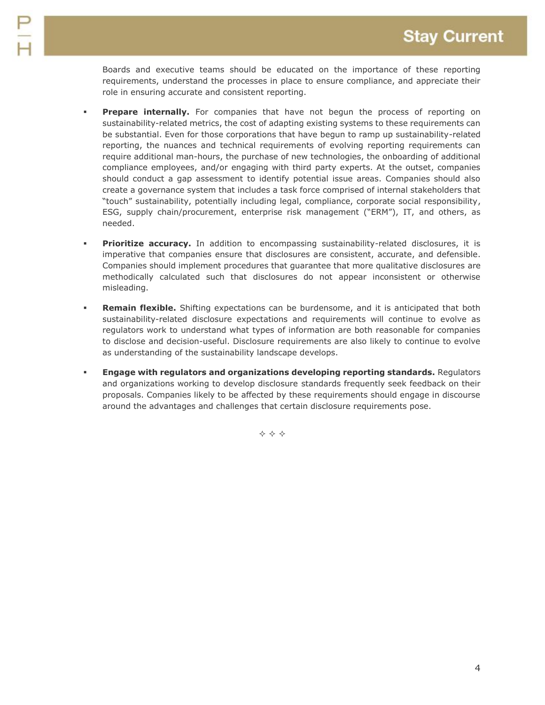Boards and executive teams should be educated on the importance of these reporting requirements, understand the processes in place to ensure compliance, and appreciate their role in ensuring accurate and consistent reporting.

- **Prepare internally.** For companies that have not begun the process of reporting on sustainability-related metrics, the cost of adapting existing systems to these requirements can be substantial. Even for those corporations that have begun to ramp up sustainability-related reporting, the nuances and technical requirements of evolving reporting requirements can require additional man-hours, the purchase of new technologies, the onboarding of additional compliance employees, and/or engaging with third party experts. At the outset, companies should conduct a gap assessment to identify potential issue areas. Companies should also create a governance system that includes a task force comprised of internal stakeholders that "touch" sustainability, potentially including legal, compliance, corporate social responsibility, ESG, supply chain/procurement, enterprise risk management ("ERM"), IT, and others, as needed.
- **Prioritize accuracy.** In addition to encompassing sustainability-related disclosures, it is imperative that companies ensure that disclosures are consistent, accurate, and defensible. Companies should implement procedures that guarantee that more qualitative disclosures are methodically calculated such that disclosures do not appear inconsistent or otherwise misleading.
- **Remain flexible.** Shifting expectations can be burdensome, and it is anticipated that both sustainability-related disclosure expectations and requirements will continue to evolve as regulators work to understand what types of information are both reasonable for companies to disclose and decision-useful. Disclosure requirements are also likely to continue to evolve as understanding of the sustainability landscape develops.
- **Engage with regulators and organizations developing reporting standards.** Regulators and organizations working to develop disclosure standards frequently seek feedback on their proposals. Companies likely to be affected by these requirements should engage in discourse around the advantages and challenges that certain disclosure requirements pose.

 $\Leftrightarrow$   $\Leftrightarrow$   $\Leftrightarrow$